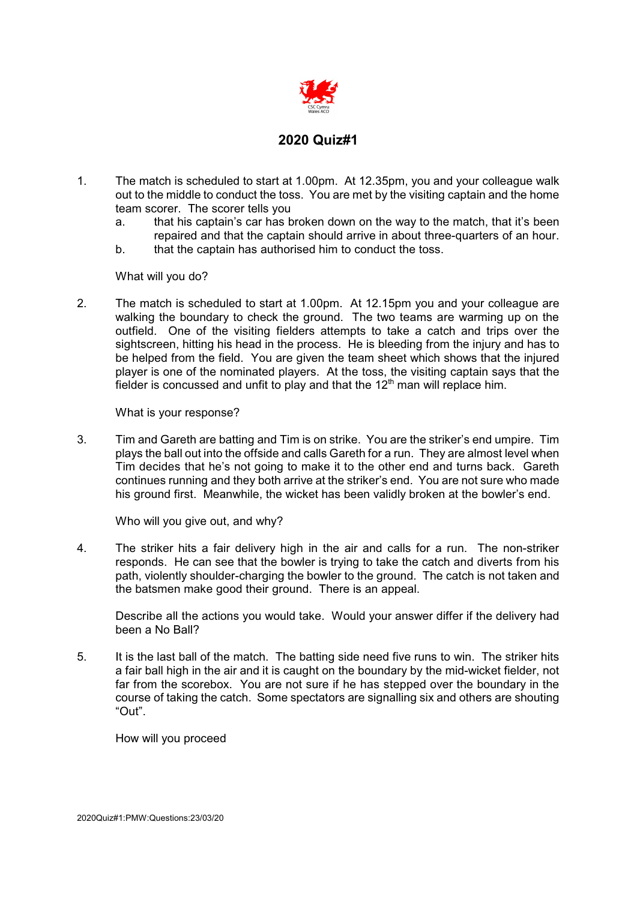

- 1. The match is scheduled to start at 1.00pm. At 12.35pm, you and your colleague walk out to the middle to conduct the toss. You are met by the visiting captain and the home team scorer. The scorer tells you
	- a. that his captain's car has broken down on the way to the match, that it's been repaired and that the captain should arrive in about three-quarters of an hour.
	- b. that the captain has authorised him to conduct the toss.

What will you do?

2. The match is scheduled to start at 1.00pm. At 12.15pm you and your colleague are walking the boundary to check the ground. The two teams are warming up on the outfield. One of the visiting fielders attempts to take a catch and trips over the sightscreen, hitting his head in the process. He is bleeding from the injury and has to be helped from the field. You are given the team sheet which shows that the injured player is one of the nominated players. At the toss, the visiting captain says that the fielder is concussed and unfit to play and that the  $12<sup>th</sup>$  man will replace him.

What is your response?

3. Tim and Gareth are batting and Tim is on strike. You are the striker's end umpire. Tim plays the ball out into the offside and calls Gareth for a run. They are almost level when Tim decides that he's not going to make it to the other end and turns back. Gareth continues running and they both arrive at the striker's end. You are not sure who made his ground first. Meanwhile, the wicket has been validly broken at the bowler's end.

Who will you give out, and why?

4. The striker hits a fair delivery high in the air and calls for a run. The non-striker responds. He can see that the bowler is trying to take the catch and diverts from his path, violently shoulder-charging the bowler to the ground. The catch is not taken and the batsmen make good their ground. There is an appeal.

Describe all the actions you would take. Would your answer differ if the delivery had been a No Ball?

5. It is the last ball of the match. The batting side need five runs to win. The striker hits a fair ball high in the air and it is caught on the boundary by the mid-wicket fielder, not far from the scorebox. You are not sure if he has stepped over the boundary in the course of taking the catch. Some spectators are signalling six and others are shouting "Out".

How will you proceed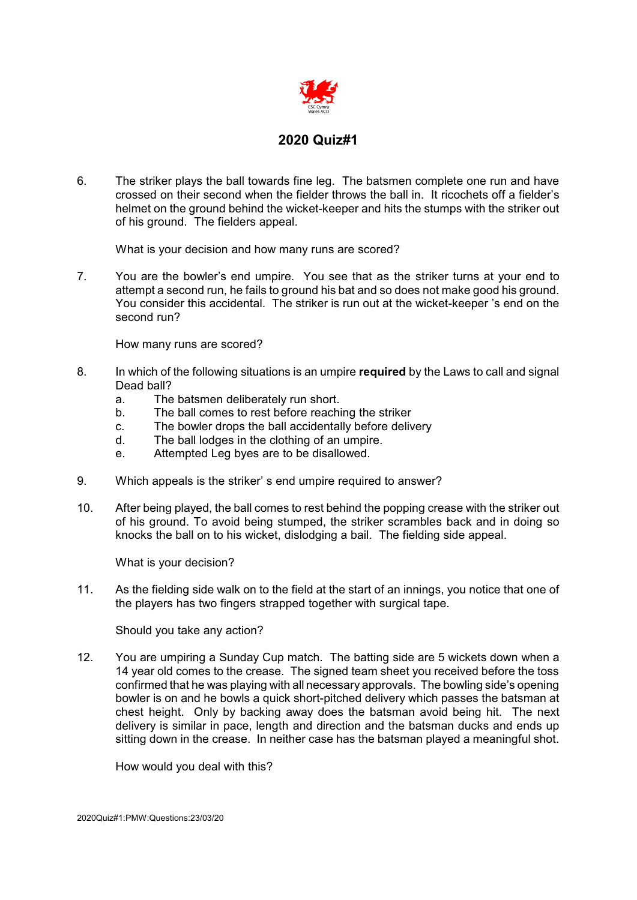

6. The striker plays the ball towards fine leg. The batsmen complete one run and have crossed on their second when the fielder throws the ball in. It ricochets off a fielder's helmet on the ground behind the wicket-keeper and hits the stumps with the striker out of his ground. The fielders appeal.

What is your decision and how many runs are scored?

7. You are the bowler's end umpire. You see that as the striker turns at your end to attempt a second run, he fails to ground his bat and so does not make good his ground. You consider this accidental. The striker is run out at the wicket-keeper 's end on the second run?

How many runs are scored?

- 8. In which of the following situations is an umpire **required** by the Laws to call and signal Dead ball?
	- a. The batsmen deliberately run short.
	- b. The ball comes to rest before reaching the striker
	- c. The bowler drops the ball accidentally before delivery
	- d. The ball lodges in the clothing of an umpire.
	- e. Attempted Leg byes are to be disallowed.
- 9. Which appeals is the striker' s end umpire required to answer?
- 10. After being played, the ball comes to rest behind the popping crease with the striker out of his ground. To avoid being stumped, the striker scrambles back and in doing so knocks the ball on to his wicket, dislodging a bail. The fielding side appeal.

What is your decision?

11. As the fielding side walk on to the field at the start of an innings, you notice that one of the players has two fingers strapped together with surgical tape.

Should you take any action?

12. You are umpiring a Sunday Cup match. The batting side are 5 wickets down when a 14 year old comes to the crease. The signed team sheet you received before the toss confirmed that he was playing with all necessary approvals. The bowling side's opening bowler is on and he bowls a quick short-pitched delivery which passes the batsman at chest height. Only by backing away does the batsman avoid being hit. The next delivery is similar in pace, length and direction and the batsman ducks and ends up sitting down in the crease. In neither case has the batsman played a meaningful shot.

How would you deal with this?

2020Quiz#1:PMW:Questions:23/03/20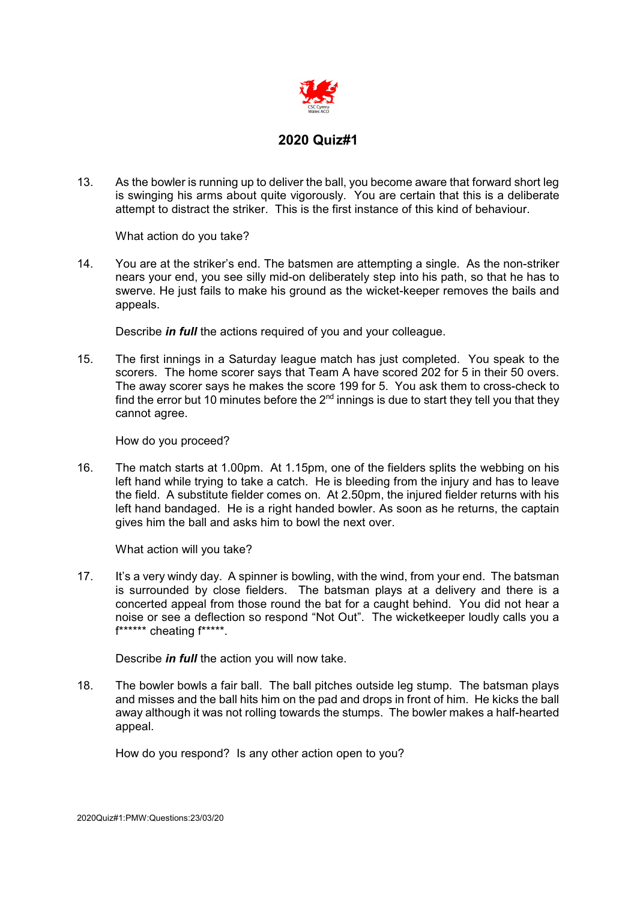

13. As the bowler is running up to deliver the ball, you become aware that forward short leg is swinging his arms about quite vigorously. You are certain that this is a deliberate attempt to distract the striker. This is the first instance of this kind of behaviour.

What action do you take?

14. You are at the striker's end. The batsmen are attempting a single. As the non-striker nears your end, you see silly mid-on deliberately step into his path, so that he has to swerve. He just fails to make his ground as the wicket-keeper removes the bails and appeals.

Describe *in full* the actions required of you and your colleague.

15. The first innings in a Saturday league match has just completed. You speak to the scorers. The home scorer says that Team A have scored 202 for 5 in their 50 overs. The away scorer says he makes the score 199 for 5. You ask them to cross-check to find the error but 10 minutes before the  $2<sup>nd</sup>$  innings is due to start they tell you that they cannot agree.

How do you proceed?

16. The match starts at 1.00pm. At 1.15pm, one of the fielders splits the webbing on his left hand while trying to take a catch. He is bleeding from the injury and has to leave the field. A substitute fielder comes on. At 2.50pm, the injured fielder returns with his left hand bandaged. He is a right handed bowler. As soon as he returns, the captain gives him the ball and asks him to bowl the next over.

What action will you take?

17. It's a very windy day. A spinner is bowling, with the wind, from your end. The batsman is surrounded by close fielders. The batsman plays at a delivery and there is a concerted appeal from those round the bat for a caught behind. You did not hear a noise or see a deflection so respond "Not Out". The wicketkeeper loudly calls you a f\*\*\*\*\*\* cheating f\*\*\*\*\*.

Describe *in full* the action you will now take.

18. The bowler bowls a fair ball. The ball pitches outside leg stump. The batsman plays and misses and the ball hits him on the pad and drops in front of him. He kicks the ball away although it was not rolling towards the stumps. The bowler makes a half-hearted appeal.

How do you respond? Is any other action open to you?